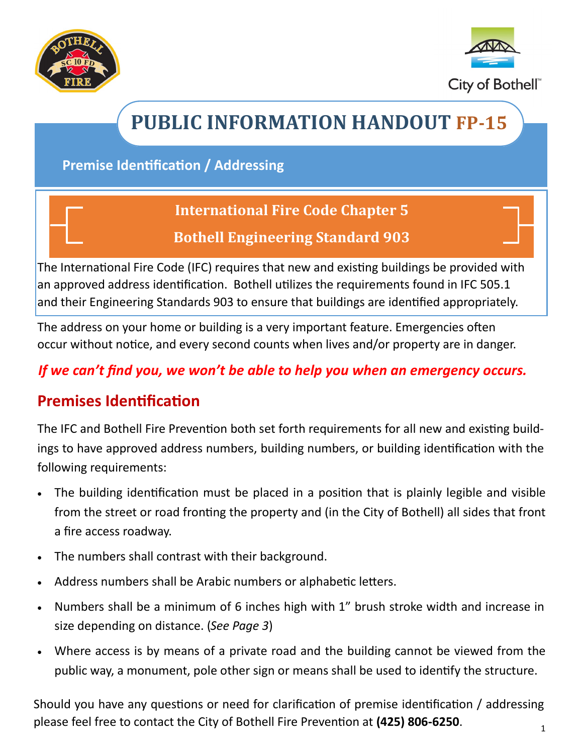



# **PUBLIC INFORMATION HANDOUT FP-15**

**Premise Identification / Addressing**

### **International Fire Code Chapter 5**

### **Bothell Engineering Standard 903**

The International Fire Code (IFC) requires that new and existing buildings be provided with an approved address identification. Bothell utilizes the requirements found in IFC 505.1 and their Engineering Standards 903 to ensure that buildings are identified appropriately.

The address on your home or building is a very important feature. Emergencies often occur without notice, and every second counts when lives and/or property are in danger.

### *If we can't find you, we won't be able to help you when an emergency occurs.*

## **Premises Identification**

The IFC and Bothell Fire Prevention both set forth requirements for all new and existing buildings to have approved address numbers, building numbers, or building identification with the following requirements:

- The building identification must be placed in a position that is plainly legible and visible from the street or road fronting the property and (in the City of Bothell) all sides that front a fire access roadway.
- The numbers shall contrast with their background.
- Address numbers shall be Arabic numbers or alphabetic letters.
- Numbers shall be a minimum of 6 inches high with 1" brush stroke width and increase in size depending on distance. (*See Page 3*)
- Where access is by means of a private road and the building cannot be viewed from the public way, a monument, pole other sign or means shall be used to identify the structure.

1 Should you have any questions or need for clarification of premise identification / addressing please feel free to contact the City of Bothell Fire Prevention at **(425) 806-6250**.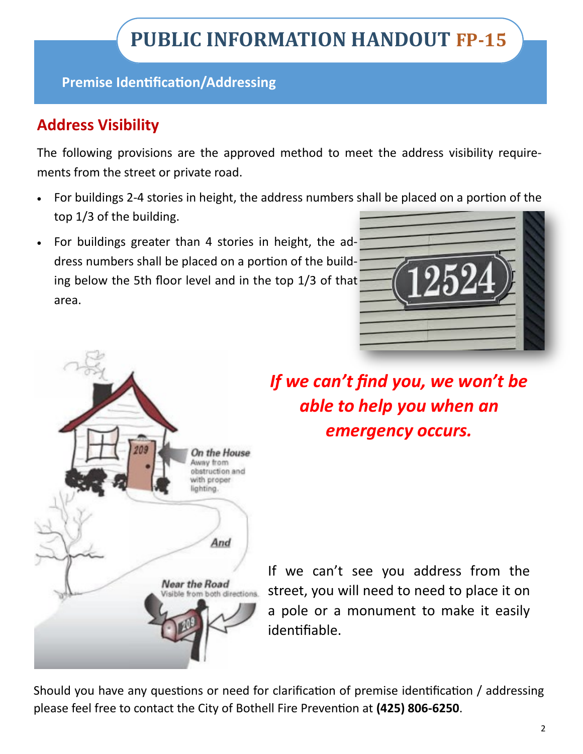**Premise Identification/Addressing**

## **Address Visibility**

The following provisions are the approved method to meet the address visibility requirements from the street or private road.

- For buildings 2-4 stories in height, the address numbers shall be placed on a portion of the top 1/3 of the building.
- For buildings greater than 4 stories in height, the address numbers shall be placed on a portion of the building below the 5th floor level and in the top 1/3 of that area.



On the House Away from obstruction and with proper lighting. And **Near the Road** from both dire

*If we can't find you, we won't be able to help you when an emergency occurs.*

If we can't see you address from the street, you will need to need to place it on a pole or a monument to make it easily identifiable.

Should you have any questions or need for clarification of premise identification / addressing please feel free to contact the City of Bothell Fire Prevention at **(425) 806-6250**.